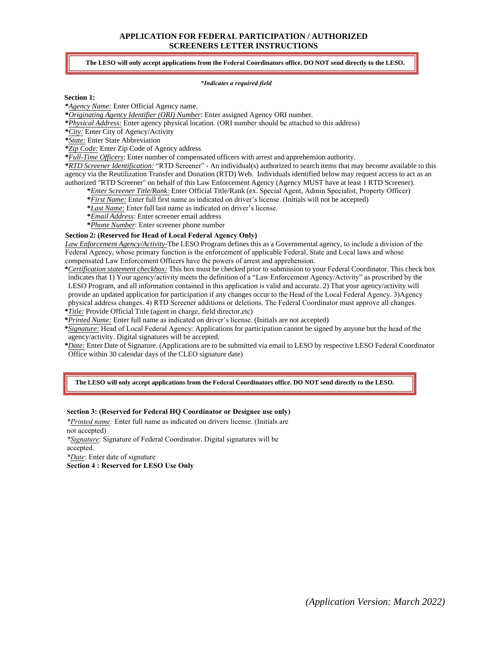# **APPLICATION FOR FEDERAL PARTICIPATION / AUTHORIZED SCREENERS LETTER INSTRUCTIONS**

### **The LESO will only accept applications from the Federal Coordinators office. DO NOT send directly to the LESO.**

#### *\*Indicates a required field*

### **Section 1:**

**\****Agency Name:* Enter Official Agency name.

**\****Originating Agency Identifier (ORI) Number*: Enter assigned Agency ORI number.

**\****Physical Address:* Enter agency physical location. (ORI number should be attached to this address)

**\****City:* Enter City of Agency/Activity

**\****State:* Enter State Abbreviation

**\****Zip Code:* Enter Zip Code of Agency address

**\****Full-Time Officers*: Enter number of compensated officers with arrest and apprehension authority.

**\****RTD Screener Identification:* "RTD Screener" - An individual(s) authorized to search items that may become available to this agency via the Reutilization Transfer and Donation (RTD) Web. Individuals identified below may request access to act as an authorized "RTD Screener" on behalf of this Law Enforcement Agency (Agency MUST have at least 1 RTD Screener).

**\****Enter Screener Title/Rank:* Enter Official Title/Rank (ex. Special Agent, Admin Specialist, Property Officer)

**\****First Name:* Enter full first name as indicated on driver's license. (Initials will not be accepted)

**\****Last Name:* Enter full last name as indicated on driver's license.

**\****Email Address*: Enter screener email address

**\****Phone Number*: Enter screener phone number

#### **Section 2: (Reserved for Head of Local Federal Agency Only)**

*Law Enforcement Agency/Activity-*The LESO Program defines this as a Governmental agency, to include a division of the Federal Agency, whose primary function is the enforcement of applicable Federal, State and Local laws and whose compensated Law Enforcement Officers have the powers of arrest and apprehension.

**\****Certification statement checkbox:* This box must be checked prior to submission to your Federal Coordinator. This check box indicates that 1) Your agency/activity meets the definition of a "Law Enforcement Agency/Activity" as prescribed by the LESO Program, and all information contained in this application is valid and accurate. 2) That your agency/activity will provide an updated application for participation if any changes occur to the Head of the Local Federal Agency. 3)Agency physical address changes. 4) RTD Screener additions or deletions. The Federal Coordinator must approve all changes. **\****Title:* Provide Official Title (agent in charge, field director,etc)

**\****Printed Name:* Enter full name as indicated on driver's license. (Initials are not accepted)

**\****Signature:* Head of Local Federal Agency: Applications for participation cannot be signed by anyone but the head of the agency/activity. Digital signatures will be accepted.

**\****Date:* Enter Date of Signature. (Applications are to be submitted via email to LESO by respective LESO Federal Coordinator Office within 30 calendar days of the CLEO signature date)

**The LESO will only accept applications from the Federal Coordinators office. DO NOT send directly to the LESO.**

#### **Section 3: (Reserved for Federal HQ Coordinator or Designee use only)**

*\*Printed name:* Enter full name as indicated on drivers license. (Initials are not accepted) *\*Signature*: Signature of Federal Coordinator. Digital signatures will be accepted. *\*Date*: Enter date of signature

**Section 4 : Reserved for LESO Use Only**